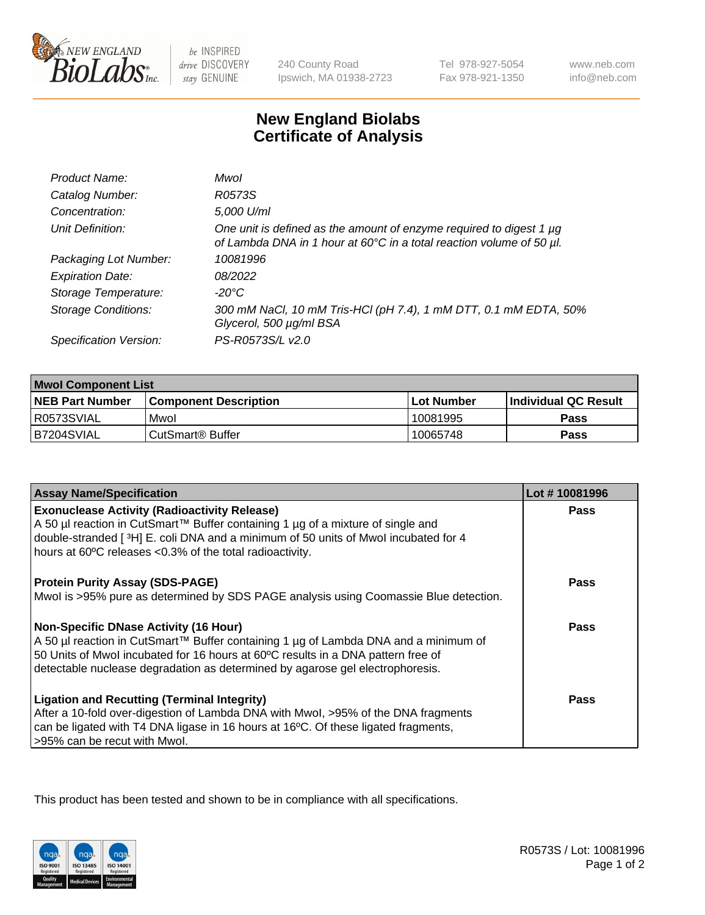

 $be$  INSPIRED drive DISCOVERY stay GENUINE

240 County Road Ipswich, MA 01938-2723 Tel 978-927-5054 Fax 978-921-1350

www.neb.com info@neb.com

## **New England Biolabs Certificate of Analysis**

| Product Name:              | Mwol                                                                                                                                             |
|----------------------------|--------------------------------------------------------------------------------------------------------------------------------------------------|
| Catalog Number:            | R0573S                                                                                                                                           |
| Concentration:             | 5,000 U/ml                                                                                                                                       |
| Unit Definition:           | One unit is defined as the amount of enzyme required to digest 1 $\mu$ g<br>of Lambda DNA in 1 hour at 60°C in a total reaction volume of 50 µl. |
| Packaging Lot Number:      | 10081996                                                                                                                                         |
| <b>Expiration Date:</b>    | 08/2022                                                                                                                                          |
| Storage Temperature:       | $-20^{\circ}$ C                                                                                                                                  |
| <b>Storage Conditions:</b> | 300 mM NaCl, 10 mM Tris-HCl (pH 7.4), 1 mM DTT, 0.1 mM EDTA, 50%<br>Glycerol, 500 µg/ml BSA                                                      |
| Specification Version:     | PS-R0573S/L v2.0                                                                                                                                 |

| <b>Mwol Component List</b> |                              |             |                             |  |
|----------------------------|------------------------------|-------------|-----------------------------|--|
| <b>NEB Part Number</b>     | <b>Component Description</b> | ⊺Lot Number | <b>Individual QC Result</b> |  |
| I R0573SVIAL               | Mwol                         | 10081995    | Pass                        |  |
| B7204SVIAL                 | l CutSmart® Buffer           | 10065748    | Pass                        |  |

| <b>Assay Name/Specification</b>                                                      | Lot #10081996 |
|--------------------------------------------------------------------------------------|---------------|
| <b>Exonuclease Activity (Radioactivity Release)</b>                                  | <b>Pass</b>   |
| A 50 µl reaction in CutSmart™ Buffer containing 1 µg of a mixture of single and      |               |
| double-stranded [3H] E. coli DNA and a minimum of 50 units of Mwol incubated for 4   |               |
| hours at 60°C releases <0.3% of the total radioactivity.                             |               |
| <b>Protein Purity Assay (SDS-PAGE)</b>                                               | <b>Pass</b>   |
| Mwol is >95% pure as determined by SDS PAGE analysis using Coomassie Blue detection. |               |
| <b>Non-Specific DNase Activity (16 Hour)</b>                                         | Pass          |
| A 50 µl reaction in CutSmart™ Buffer containing 1 µg of Lambda DNA and a minimum of  |               |
| 50 Units of Mwol incubated for 16 hours at 60°C results in a DNA pattern free of     |               |
| detectable nuclease degradation as determined by agarose gel electrophoresis.        |               |
| <b>Ligation and Recutting (Terminal Integrity)</b>                                   | Pass          |
| After a 10-fold over-digestion of Lambda DNA with Mwol, >95% of the DNA fragments    |               |
| can be ligated with T4 DNA ligase in 16 hours at 16°C. Of these ligated fragments,   |               |
| >95% can be recut with Mwol.                                                         |               |

This product has been tested and shown to be in compliance with all specifications.